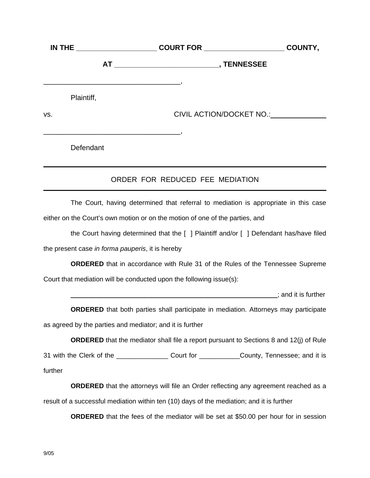| <b>IN THE _______________________</b> |                                                                                                         | COURT FOR _____________________ | COUNTY, |
|---------------------------------------|---------------------------------------------------------------------------------------------------------|---------------------------------|---------|
|                                       |                                                                                                         |                                 |         |
|                                       | the control of the control of the control of the control of the control of the control of<br>Plaintiff, |                                 |         |
| VS.                                   |                                                                                                         | CIVIL ACTION/DOCKET NO.:        |         |
|                                       | Defendant                                                                                               |                                 |         |

## ORDER FOR REDUCED FEE MEDIATION

The Court, having determined that referral to mediation is appropriate in this case either on the Court's own motion or on the motion of one of the parties, and

the Court having determined that the [ ] Plaintiff and/or [ ] Defendant has/have filed the present case *in forma pauperis*, it is hereby

**ORDERED** that in accordance with Rule 31 of the Rules of the Tennessee Supreme Court that mediation will be conducted upon the following issue(s):

**\_\_\_\_\_\_\_\_\_\_\_\_\_\_\_\_\_\_\_\_\_\_\_\_\_\_\_\_\_\_;** and it is further

**ORDERED** that both parties shall participate in mediation. Attorneys may participate as agreed by the parties and mediator; and it is further

**ORDERED** that the mediator shall file a report pursuant to Sections 8 and 12(j) of Rule

31 with the Clerk of the \_\_\_\_\_\_\_\_\_\_\_\_\_\_\_\_Court for \_\_\_\_\_\_\_\_\_\_\_\_County, Tennessee; and it is further

**ORDERED** that the attorneys will file an Order reflecting any agreement reached as a result of a successful mediation within ten (10) days of the mediation; and it is further

**ORDERED** that the fees of the mediator will be set at \$50.00 per hour for in session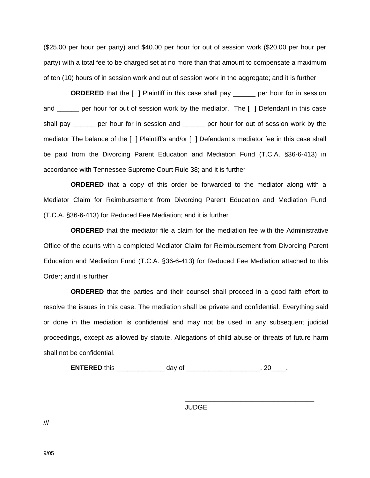(\$25.00 per hour per party) and \$40.00 per hour for out of session work (\$20.00 per hour per party) with a total fee to be charged set at no more than that amount to compensate a maximum of ten (10) hours of in session work and out of session work in the aggregate; and it is further

**ORDERED** that the [ ] Plaintiff in this case shall pay end per hour for in session and \_\_\_\_\_\_ per hour for out of session work by the mediator. The [ ] Defendant in this case shall pay \_\_\_\_\_\_ per hour for in session and \_\_\_\_\_\_ per hour for out of session work by the mediator The balance of the [ ] Plaintiff's and/or [ ] Defendant's mediator fee in this case shall be paid from the Divorcing Parent Education and Mediation Fund (T.C.A. §36-6-413) in accordance with Tennessee Supreme Court Rule 38; and it is further

**ORDERED** that a copy of this order be forwarded to the mediator along with a Mediator Claim for Reimbursement from Divorcing Parent Education and Mediation Fund (T.C.A. §36-6-413) for Reduced Fee Mediation; and it is further

**ORDERED** that the mediator file a claim for the mediation fee with the Administrative Office of the courts with a completed Mediator Claim for Reimbursement from Divorcing Parent Education and Mediation Fund (T.C.A. §36-6-413) for Reduced Fee Mediation attached to this Order; and it is further

**ORDERED** that the parties and their counsel shall proceed in a good faith effort to resolve the issues in this case. The mediation shall be private and confidential. Everything said or done in the mediation is confidential and may not be used in any subsequent judicial proceedings, except as allowed by statute. Allegations of child abuse or threats of future harm shall not be confidential.

**ENTERED** this \_\_\_\_\_\_\_\_\_\_\_\_\_\_\_\_\_\_\_ day of \_\_\_\_\_\_\_\_\_\_\_\_\_\_\_\_\_\_\_\_\_\_\_\_\_, 20\_\_\_\_\_.

JUDGE

\_\_\_\_\_\_\_\_\_\_\_\_\_\_\_\_\_\_\_\_\_\_\_\_\_\_\_\_\_\_\_\_\_\_\_

///